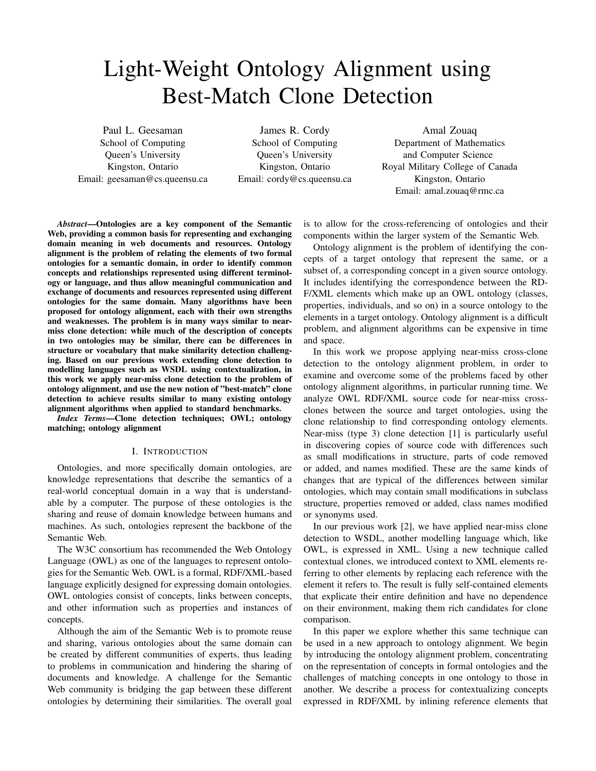# Light-Weight Ontology Alignment using Best-Match Clone Detection

Paul L. Geesaman School of Computing Queen's University Kingston, Ontario Email: geesaman@cs.queensu.ca

James R. Cordy School of Computing Queen's University Kingston, Ontario Email: cordy@cs.queensu.ca

Amal Zouaq Department of Mathematics and Computer Science Royal Military College of Canada Kingston, Ontario Email: amal.zouaq@rmc.ca

*Abstract*—Ontologies are a key component of the Semantic Web, providing a common basis for representing and exchanging domain meaning in web documents and resources. Ontology alignment is the problem of relating the elements of two formal ontologies for a semantic domain, in order to identify common concepts and relationships represented using different terminology or language, and thus allow meaningful communication and exchange of documents and resources represented using different ontologies for the same domain. Many algorithms have been proposed for ontology alignment, each with their own strengths and weaknesses. The problem is in many ways similar to nearmiss clone detection: while much of the description of concepts in two ontologies may be similar, there can be differences in structure or vocabulary that make similarity detection challenging. Based on our previous work extending clone detection to modelling languages such as WSDL using contextualization, in this work we apply near-miss clone detection to the problem of ontology alignment, and use the new notion of "best-match" clone detection to achieve results similar to many existing ontology alignment algorithms when applied to standard benchmarks.

*Index Terms*—Clone detection techniques; OWL; ontology matching; ontology alignment

## I. INTRODUCTION

Ontologies, and more specifically domain ontologies, are knowledge representations that describe the semantics of a real-world conceptual domain in a way that is understandable by a computer. The purpose of these ontologies is the sharing and reuse of domain knowledge between humans and machines. As such, ontologies represent the backbone of the Semantic Web.

The W3C consortium has recommended the Web Ontology Language (OWL) as one of the languages to represent ontologies for the Semantic Web. OWL is a formal, RDF/XML-based language explicitly designed for expressing domain ontologies. OWL ontologies consist of concepts, links between concepts, and other information such as properties and instances of concepts.

Although the aim of the Semantic Web is to promote reuse and sharing, various ontologies about the same domain can be created by different communities of experts, thus leading to problems in communication and hindering the sharing of documents and knowledge. A challenge for the Semantic Web community is bridging the gap between these different ontologies by determining their similarities. The overall goal

is to allow for the cross-referencing of ontologies and their components within the larger system of the Semantic Web.

Ontology alignment is the problem of identifying the concepts of a target ontology that represent the same, or a subset of, a corresponding concept in a given source ontology. It includes identifying the correspondence between the RD-F/XML elements which make up an OWL ontology (classes, properties, individuals, and so on) in a source ontology to the elements in a target ontology. Ontology alignment is a difficult problem, and alignment algorithms can be expensive in time and space.

In this work we propose applying near-miss cross-clone detection to the ontology alignment problem, in order to examine and overcome some of the problems faced by other ontology alignment algorithms, in particular running time. We analyze OWL RDF/XML source code for near-miss crossclones between the source and target ontologies, using the clone relationship to find corresponding ontology elements. Near-miss (type 3) clone detection [1] is particularly useful in discovering copies of source code with differences such as small modifications in structure, parts of code removed or added, and names modified. These are the same kinds of changes that are typical of the differences between similar ontologies, which may contain small modifications in subclass structure, properties removed or added, class names modified or synonyms used.

In our previous work [2], we have applied near-miss clone detection to WSDL, another modelling language which, like OWL, is expressed in XML. Using a new technique called contextual clones, we introduced context to XML elements referring to other elements by replacing each reference with the element it refers to. The result is fully self-contained elements that explicate their entire definition and have no dependence on their environment, making them rich candidates for clone comparison.

In this paper we explore whether this same technique can be used in a new approach to ontology alignment. We begin by introducing the ontology alignment problem, concentrating on the representation of concepts in formal ontologies and the challenges of matching concepts in one ontology to those in another. We describe a process for contextualizing concepts expressed in RDF/XML by inlining reference elements that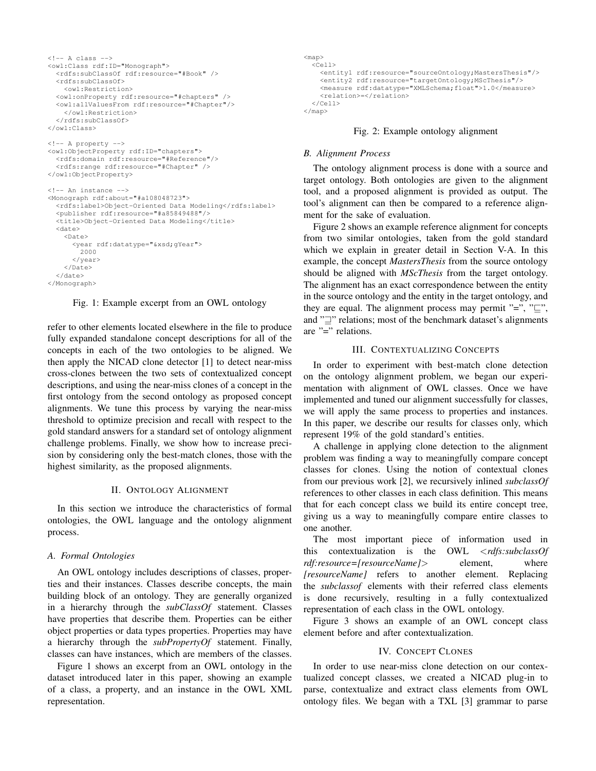```
\leftarrow - A class \leftarrow<owl:Class rdf:ID="Monograph">
  <rdfs:subClassOf rdf:resource="#Book" />
  <rdfs:subClassOf>
    <owl:Restriction>
  <owl:onProperty rdf:resource="#chapters" />
  <owl:allValuesFrom rdf:resource="#Chapter"/>
    </owl:Restriction>
  </rdfs:subClassOf>
</owl:Class>
<!-- A property -->
<owl:ObjectProperty rdf:ID="chapters">
  <rdfs:domain rdf:resource="#Reference"/>
  <rdfs:range rdf:resource="#Chapter" />
</owl:ObjectProperty>
<!-- An instance -->
<Monograph rdf:about="#a108048723">
  <rdfs:label>Object-Oriented Data Modeling</rdfs:label>
  <publisher rdf:resource="#a85849488"/>
  <title>Object-Oriented Data Modeling</title>
  <date>
    <Date>
      <year rdf:datatype="&xsd;gYear">
        2000
      \langle/year>
    </Date>
  </date>
</Monograph>
```
Fig. 1: Example excerpt from an OWL ontology

refer to other elements located elsewhere in the file to produce fully expanded standalone concept descriptions for all of the concepts in each of the two ontologies to be aligned. We then apply the NICAD clone detector [1] to detect near-miss cross-clones between the two sets of contextualized concept descriptions, and using the near-miss clones of a concept in the first ontology from the second ontology as proposed concept alignments. We tune this process by varying the near-miss threshold to optimize precision and recall with respect to the gold standard answers for a standard set of ontology alignment challenge problems. Finally, we show how to increase precision by considering only the best-match clones, those with the highest similarity, as the proposed alignments.

#### II. ONTOLOGY ALIGNMENT

In this section we introduce the characteristics of formal ontologies, the OWL language and the ontology alignment process.

# *A. Formal Ontologies*

An OWL ontology includes descriptions of classes, properties and their instances. Classes describe concepts, the main building block of an ontology. They are generally organized in a hierarchy through the *subClassOf* statement. Classes have properties that describe them. Properties can be either object properties or data types properties. Properties may have a hierarchy through the *subPropertyOf* statement. Finally, classes can have instances, which are members of the classes.

Figure 1 shows an excerpt from an OWL ontology in the dataset introduced later in this paper, showing an example of a class, a property, and an instance in the OWL XML representation.

```
<map>
  <sub>cell</sub></sub>
    <entity1 rdf:resource="sourceOntology;MastersThesis"/>
    <entity2 rdf:resource="targetOntology;MScThesis"/>
    <measure rdf:datatype="XMLSchema;float">1.0</measure>
    <relation>=</relation>
  </Cell></map>
```
#### Fig. 2: Example ontology alignment

## *B. Alignment Process*

The ontology alignment process is done with a source and target ontology. Both ontologies are given to the alignment tool, and a proposed alignment is provided as output. The tool's alignment can then be compared to a reference alignment for the sake of evaluation.

Figure 2 shows an example reference alignment for concepts from two similar ontologies, taken from the gold standard which we explain in greater detail in Section V-A. In this example, the concept *MastersThesis* from the source ontology should be aligned with *MScThesis* from the target ontology. The alignment has an exact correspondence between the entity in the source ontology and the entity in the target ontology, and they are equal. The alignment process may permit "=", " $\sqsubseteq$ ", and " $\exists$ " relations; most of the benchmark dataset's alignments are "=" relations.

## III. CONTEXTUALIZING CONCEPTS

In order to experiment with best-match clone detection on the ontology alignment problem, we began our experimentation with alignment of OWL classes. Once we have implemented and tuned our alignment successfully for classes, we will apply the same process to properties and instances. In this paper, we describe our results for classes only, which represent 19% of the gold standard's entities.

A challenge in applying clone detection to the alignment problem was finding a way to meaningfully compare concept classes for clones. Using the notion of contextual clones from our previous work [2], we recursively inlined *subclassOf* references to other classes in each class definition. This means that for each concept class we build its entire concept tree, giving us a way to meaningfully compare entire classes to one another.

The most important piece of information used in this contextualization is the OWL *<rdfs:subclassOf rdf:resource=[resourceName]>* element, where *[resourceName]* refers to another element. Replacing the *subclassof* elements with their referred class elements is done recursively, resulting in a fully contextualized representation of each class in the OWL ontology.

Figure 3 shows an example of an OWL concept class element before and after contextualization.

## IV. CONCEPT CLONES

In order to use near-miss clone detection on our contextualized concept classes, we created a NICAD plug-in to parse, contextualize and extract class elements from OWL ontology files. We began with a TXL [3] grammar to parse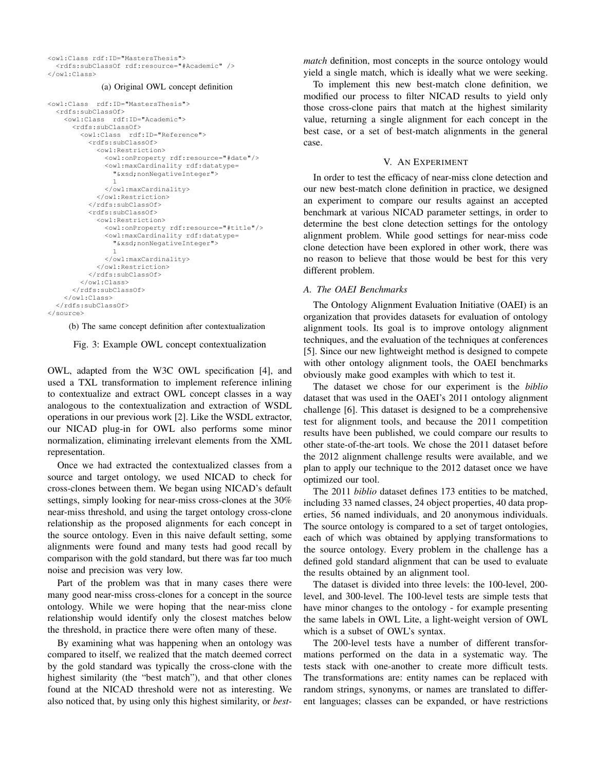```
<owl:Class rdf:ID="MastersThesis">
  <rdfs:subClassOf rdf:resource="#Academic" />
</owl:Class>
```
#### (a) Original OWL concept definition

```
<owl:Class rdf:ID="MastersThesis">
  <rdfs:subClassOf>
    <owl:Class rdf:ID="Academic">
      <rdfs:subClassOf>
        <owl:Class rdf:ID="Reference">
          <rdfs:subClassOf>
            <owl:Restriction>
              <owl:onProperty rdf:resource="#date"/>
              <owl:maxCardinality rdf:datatype=
                "&xsd;nonNegativeInteger">
                1
              </owl:maxCardinality>
            </owl:Restriction>
          </rdfs:subClassOf>
          <rdfs:subClassOf>
            <owl:Restriction>
              <owl:onProperty rdf:resource="#title"/>
              <owl:maxCardinality rdf:datatype=
                "&xsd;nonNegativeInteger">
                1
              </owl:maxCardinality>
            </owl:Restriction>
          \langle/rdfs:subClassOf>
        </owl:Class>
      </rdfs:subClassOf>
    </owl:Class>
  </rdfs:subClassOf>
</source>
```
(b) The same concept definition after contextualization

Fig. 3: Example OWL concept contextualization

OWL, adapted from the W3C OWL specification [4], and used a TXL transformation to implement reference inlining to contextualize and extract OWL concept classes in a way analogous to the contextualization and extraction of WSDL operations in our previous work [2]. Like the WSDL extractor, our NICAD plug-in for OWL also performs some minor normalization, eliminating irrelevant elements from the XML representation.

Once we had extracted the contextualized classes from a source and target ontology, we used NICAD to check for cross-clones between them. We began using NICAD's default settings, simply looking for near-miss cross-clones at the 30% near-miss threshold, and using the target ontology cross-clone relationship as the proposed alignments for each concept in the source ontology. Even in this naive default setting, some alignments were found and many tests had good recall by comparison with the gold standard, but there was far too much noise and precision was very low.

Part of the problem was that in many cases there were many good near-miss cross-clones for a concept in the source ontology. While we were hoping that the near-miss clone relationship would identify only the closest matches below the threshold, in practice there were often many of these.

By examining what was happening when an ontology was compared to itself, we realized that the match deemed correct by the gold standard was typically the cross-clone with the highest similarity (the "best match"), and that other clones found at the NICAD threshold were not as interesting. We also noticed that, by using only this highest similarity, or *best-* *match* definition, most concepts in the source ontology would yield a single match, which is ideally what we were seeking.

To implement this new best-match clone definition, we modified our process to filter NICAD results to yield only those cross-clone pairs that match at the highest similarity value, returning a single alignment for each concept in the best case, or a set of best-match alignments in the general case.

## V. AN EXPERIMENT

In order to test the efficacy of near-miss clone detection and our new best-match clone definition in practice, we designed an experiment to compare our results against an accepted benchmark at various NICAD parameter settings, in order to determine the best clone detection settings for the ontology alignment problem. While good settings for near-miss code clone detection have been explored in other work, there was no reason to believe that those would be best for this very different problem.

#### *A. The OAEI Benchmarks*

The Ontology Alignment Evaluation Initiative (OAEI) is an organization that provides datasets for evaluation of ontology alignment tools. Its goal is to improve ontology alignment techniques, and the evaluation of the techniques at conferences [5]. Since our new lightweight method is designed to compete with other ontology alignment tools, the OAEI benchmarks obviously make good examples with which to test it.

The dataset we chose for our experiment is the *biblio* dataset that was used in the OAEI's 2011 ontology alignment challenge [6]. This dataset is designed to be a comprehensive test for alignment tools, and because the 2011 competition results have been published, we could compare our results to other state-of-the-art tools. We chose the 2011 dataset before the 2012 alignment challenge results were available, and we plan to apply our technique to the 2012 dataset once we have optimized our tool.

The 2011 *biblio* dataset defines 173 entities to be matched, including 33 named classes, 24 object properties, 40 data properties, 56 named individuals, and 20 anonymous individuals. The source ontology is compared to a set of target ontologies, each of which was obtained by applying transformations to the source ontology. Every problem in the challenge has a defined gold standard alignment that can be used to evaluate the results obtained by an alignment tool.

The dataset is divided into three levels: the 100-level, 200 level, and 300-level. The 100-level tests are simple tests that have minor changes to the ontology - for example presenting the same labels in OWL Lite, a light-weight version of OWL which is a subset of OWL's syntax.

The 200-level tests have a number of different transformations performed on the data in a systematic way. The tests stack with one-another to create more difficult tests. The transformations are: entity names can be replaced with random strings, synonyms, or names are translated to different languages; classes can be expanded, or have restrictions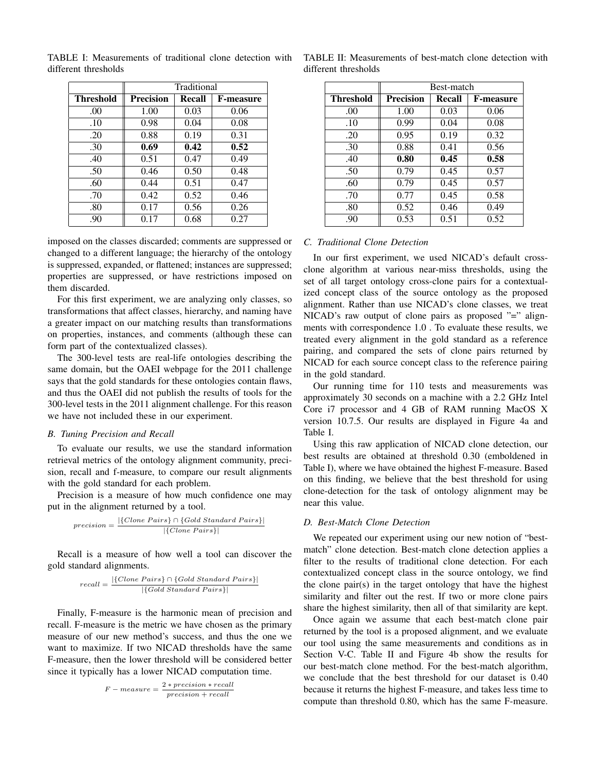|                  | Traditional      |        |                  |  |  |
|------------------|------------------|--------|------------------|--|--|
| <b>Threshold</b> | <b>Precision</b> | Recall | <b>F-measure</b> |  |  |
| .00              | 1.00             | 0.03   | 0.06             |  |  |
| .10              | 0.98             | 0.04   | 0.08             |  |  |
| .20              | 0.88             | 0.19   | 0.31             |  |  |
| .30              | 0.69             | 0.42   | 0.52             |  |  |
| .40              | 0.51             | 0.47   | 0.49             |  |  |
| .50              | 0.46             | 0.50   | 0.48             |  |  |
| .60              | 0.44             | 0.51   | 0.47             |  |  |
| .70              | 0.42             | 0.52   | 0.46             |  |  |
| .80              | 0.17             | 0.56   | 0.26             |  |  |
| .90              | 0.17             | 0.68   | 0.27             |  |  |

TABLE I: Measurements of traditional clone detection with different thresholds

imposed on the classes discarded; comments are suppressed or changed to a different language; the hierarchy of the ontology is suppressed, expanded, or flattened; instances are suppressed; properties are suppressed, or have restrictions imposed on them discarded.

For this first experiment, we are analyzing only classes, so transformations that affect classes, hierarchy, and naming have a greater impact on our matching results than transformations on properties, instances, and comments (although these can form part of the contextualized classes).

The 300-level tests are real-life ontologies describing the same domain, but the OAEI webpage for the 2011 challenge says that the gold standards for these ontologies contain flaws, and thus the OAEI did not publish the results of tools for the 300-level tests in the 2011 alignment challenge. For this reason we have not included these in our experiment.

# *B. Tuning Precision and Recall*

To evaluate our results, we use the standard information retrieval metrics of the ontology alignment community, precision, recall and f-measure, to compare our result alignments with the gold standard for each problem.

Precision is a measure of how much confidence one may put in the alignment returned by a tool.

$$
precision = \frac{|\{Clore \; Pairs\} \cap \{Gold \; Standard \; Pairs\}|}{|\{Clore \; Pairs\}|}
$$

Recall is a measure of how well a tool can discover the gold standard alignments.

$$
recall = \frac{|\{Clore \; Pairs\} \cap \{Gold \; Standard \; Pairs\}|}{|\{Gold \; Standard \; Pairs\}|}
$$

Finally, F-measure is the harmonic mean of precision and recall. F-measure is the metric we have chosen as the primary measure of our new method's success, and thus the one we want to maximize. If two NICAD thresholds have the same F-measure, then the lower threshold will be considered better since it typically has a lower NICAD computation time.

$$
F-measure = \frac{2*precision*recall}{precision+recall}
$$

|                      | TABLE II: Measurements of best-match clone detection with |  |  |  |
|----------------------|-----------------------------------------------------------|--|--|--|
| different thresholds |                                                           |  |  |  |

|                  | Best-match       |        |                  |  |  |
|------------------|------------------|--------|------------------|--|--|
| <b>Threshold</b> | <b>Precision</b> | Recall | <b>F-measure</b> |  |  |
| .00              | 1.00             | 0.03   | 0.06             |  |  |
| .10              | 0.99             | 0.04   | 0.08             |  |  |
| .20              | 0.95             | 0.19   | 0.32             |  |  |
| .30              | 0.88             | 0.41   | 0.56             |  |  |
| .40              | 0.80             | 0.45   | 0.58             |  |  |
| .50              | 0.79             | 0.45   | 0.57             |  |  |
| .60              | 0.79             | 0.45   | 0.57             |  |  |
| .70              | 0.77             | 0.45   | 0.58             |  |  |
| .80              | 0.52             | 0.46   | 0.49             |  |  |
| .90              | 0.53             | 0.51   | 0.52             |  |  |

## *C. Traditional Clone Detection*

In our first experiment, we used NICAD's default crossclone algorithm at various near-miss thresholds, using the set of all target ontology cross-clone pairs for a contextualized concept class of the source ontology as the proposed alignment. Rather than use NICAD's clone classes, we treat NICAD's raw output of clone pairs as proposed " $=$ " alignments with correspondence 1.0 . To evaluate these results, we treated every alignment in the gold standard as a reference pairing, and compared the sets of clone pairs returned by NICAD for each source concept class to the reference pairing in the gold standard.

Our running time for 110 tests and measurements was approximately 30 seconds on a machine with a 2.2 GHz Intel Core i7 processor and 4 GB of RAM running MacOS X version 10.7.5. Our results are displayed in Figure 4a and Table I.

Using this raw application of NICAD clone detection, our best results are obtained at threshold 0.30 (emboldened in Table I), where we have obtained the highest F-measure. Based on this finding, we believe that the best threshold for using clone-detection for the task of ontology alignment may be near this value.

## *D. Best-Match Clone Detection*

We repeated our experiment using our new notion of "bestmatch" clone detection. Best-match clone detection applies a filter to the results of traditional clone detection. For each contextualized concept class in the source ontology, we find the clone pair(s) in the target ontology that have the highest similarity and filter out the rest. If two or more clone pairs share the highest similarity, then all of that similarity are kept.

Once again we assume that each best-match clone pair returned by the tool is a proposed alignment, and we evaluate our tool using the same measurements and conditions as in Section V-C. Table II and Figure 4b show the results for our best-match clone method. For the best-match algorithm, we conclude that the best threshold for our dataset is 0.40 because it returns the highest F-measure, and takes less time to compute than threshold 0.80, which has the same F-measure.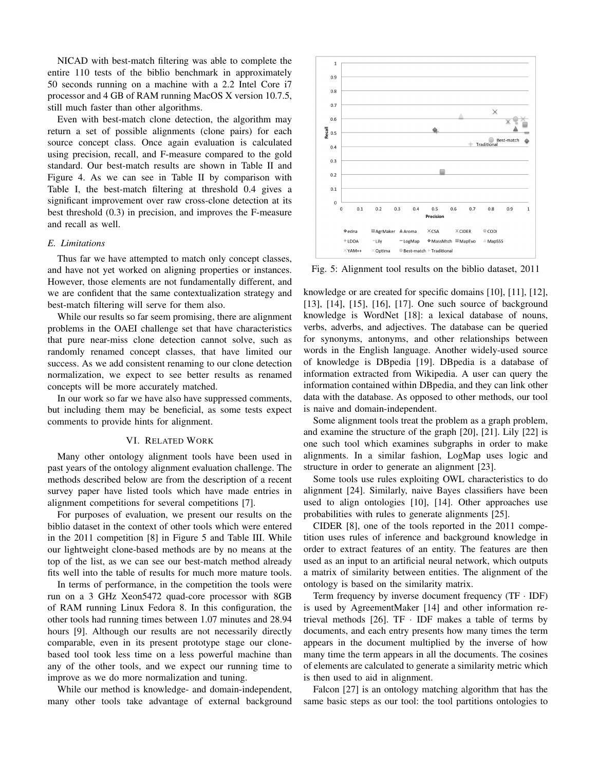NICAD with best-match filtering was able to complete the entire 110 tests of the biblio benchmark in approximately 50 seconds running on a machine with a 2.2 Intel Core i7 processor and 4 GB of RAM running MacOS X version 10.7.5, still much faster than other algorithms.

Even with best-match clone detection, the algorithm may return a set of possible alignments (clone pairs) for each source concept class. Once again evaluation is calculated using precision, recall, and F-measure compared to the gold standard. Our best-match results are shown in Table II and Figure 4. As we can see in Table II by comparison with Table I, the best-match filtering at threshold 0.4 gives a significant improvement over raw cross-clone detection at its best threshold (0.3) in precision, and improves the F-measure and recall as well.

### *E. Limitations*

Thus far we have attempted to match only concept classes, and have not yet worked on aligning properties or instances. However, those elements are not fundamentally different, and we are confident that the same contextualization strategy and best-match filtering will serve for them also.

While our results so far seem promising, there are alignment problems in the OAEI challenge set that have characteristics that pure near-miss clone detection cannot solve, such as randomly renamed concept classes, that have limited our success. As we add consistent renaming to our clone detection normalization, we expect to see better results as renamed concepts will be more accurately matched.

In our work so far we have also have suppressed comments, but including them may be beneficial, as some tests expect comments to provide hints for alignment.

## VI. RELATED WORK

Many other ontology alignment tools have been used in past years of the ontology alignment evaluation challenge. The methods described below are from the description of a recent survey paper have listed tools which have made entries in alignment competitions for several competitions [7].

For purposes of evaluation, we present our results on the biblio dataset in the context of other tools which were entered in the 2011 competition [8] in Figure 5 and Table III. While our lightweight clone-based methods are by no means at the top of the list, as we can see our best-match method already fits well into the table of results for much more mature tools.

In terms of performance, in the competition the tools were run on a 3 GHz Xeon5472 quad-core processor with 8GB of RAM running Linux Fedora 8. In this configuration, the other tools had running times between 1.07 minutes and 28.94 hours [9]. Although our results are not necessarily directly comparable, even in its present prototype stage our clonebased tool took less time on a less powerful machine than any of the other tools, and we expect our running time to improve as we do more normalization and tuning.

While our method is knowledge- and domain-independent, many other tools take advantage of external background



Fig. 5: Alignment tool results on the biblio dataset, 2011

knowledge or are created for specific domains [10], [11], [12], [13], [14], [15], [16], [17]. One such source of background knowledge is WordNet [18]: a lexical database of nouns, verbs, adverbs, and adjectives. The database can be queried for synonyms, antonyms, and other relationships between words in the English language. Another widely-used source of knowledge is DBpedia [19]. DBpedia is a database of information extracted from Wikipedia. A user can query the information contained within DBpedia, and they can link other data with the database. As opposed to other methods, our tool is naive and domain-independent.

Some alignment tools treat the problem as a graph problem, and examine the structure of the graph [20], [21]. Lily [22] is one such tool which examines subgraphs in order to make alignments. In a similar fashion, LogMap uses logic and structure in order to generate an alignment [23].

Some tools use rules exploiting OWL characteristics to do alignment [24]. Similarly, naive Bayes classifiers have been used to align ontologies [10], [14]. Other approaches use probabilities with rules to generate alignments [25].

CIDER [8], one of the tools reported in the 2011 competition uses rules of inference and background knowledge in order to extract features of an entity. The features are then used as an input to an artificial neural network, which outputs a matrix of similarity between entities. The alignment of the ontology is based on the similarity matrix.

Term frequency by inverse document frequency  $(TF \cdot IDF)$ is used by AgreementMaker [14] and other information retrieval methods  $[26]$ . TF  $\cdot$  IDF makes a table of terms by documents, and each entry presents how many times the term appears in the document multiplied by the inverse of how many time the term appears in all the documents. The cosines of elements are calculated to generate a similarity metric which is then used to aid in alignment.

Falcon [27] is an ontology matching algorithm that has the same basic steps as our tool: the tool partitions ontologies to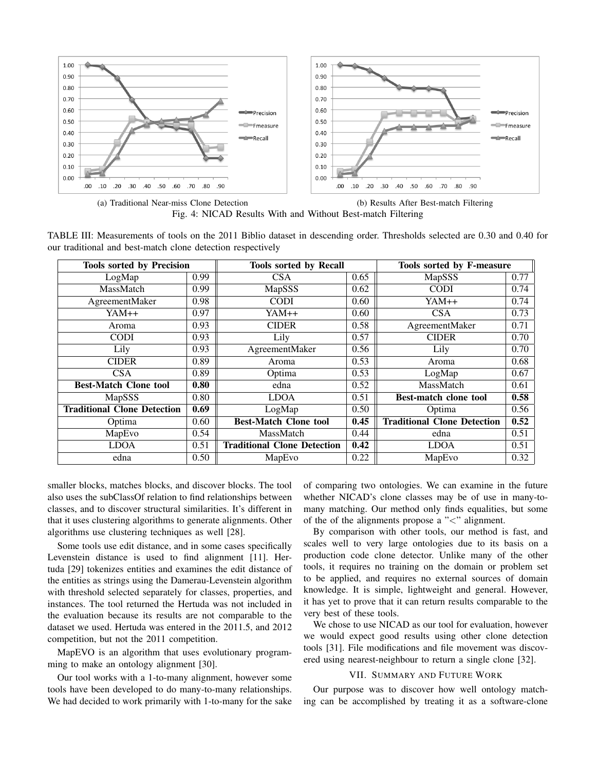

(a) Traditional Near-miss Clone Detection (b) Results After Best-match Filtering

Fig. 4: NICAD Results With and Without Best-match Filtering

TABLE III: Measurements of tools on the 2011 Biblio dataset in descending order. Thresholds selected are 0.30 and 0.40 for our traditional and best-match clone detection respectively

| <b>Tools sorted by Precision</b>   |      | <b>Tools sorted by Recall</b>      |      | Tools sorted by F-measure          |      |
|------------------------------------|------|------------------------------------|------|------------------------------------|------|
| LogMap                             | 0.99 | <b>CSA</b>                         | 0.65 | MapSSS                             | 0.77 |
| MassMatch                          | 0.99 | MapSSS                             | 0.62 | <b>CODI</b>                        | 0.74 |
| AgreementMaker                     | 0.98 | <b>CODI</b>                        | 0.60 | YAM++                              | 0.74 |
| $YAM++$                            | 0.97 | YAM++                              | 0.60 | <b>CSA</b>                         | 0.73 |
| Aroma                              | 0.93 | <b>CIDER</b>                       | 0.58 | AgreementMaker                     | 0.71 |
| <b>CODI</b>                        | 0.93 | Lily                               | 0.57 | <b>CIDER</b>                       | 0.70 |
| Lily                               | 0.93 | AgreementMaker                     | 0.56 | Lily                               | 0.70 |
| <b>CIDER</b>                       | 0.89 | Aroma                              | 0.53 | Aroma                              | 0.68 |
| <b>CSA</b>                         | 0.89 | Optima                             | 0.53 | LogMap                             | 0.67 |
| <b>Best-Match Clone tool</b>       | 0.80 | edna                               | 0.52 | MassMatch                          | 0.61 |
| MapSSS                             | 0.80 | <b>LDOA</b>                        | 0.51 | <b>Best-match clone tool</b>       | 0.58 |
| <b>Traditional Clone Detection</b> | 0.69 | LogMap                             | 0.50 | Optima                             | 0.56 |
| Optima                             | 0.60 | <b>Best-Match Clone tool</b>       | 0.45 | <b>Traditional Clone Detection</b> | 0.52 |
| MapEvo                             | 0.54 | MassMatch                          | 0.44 | edna                               | 0.51 |
| <b>LDOA</b>                        | 0.51 | <b>Traditional Clone Detection</b> | 0.42 | <b>LDOA</b>                        | 0.51 |
| edna                               | 0.50 | MapEvo                             | 0.22 | MapEvo                             | 0.32 |

smaller blocks, matches blocks, and discover blocks. The tool also uses the subClassOf relation to find relationships between classes, and to discover structural similarities. It's different in that it uses clustering algorithms to generate alignments. Other algorithms use clustering techniques as well [28].

Some tools use edit distance, and in some cases specifically Levenstein distance is used to find alignment [11]. Hertuda [29] tokenizes entities and examines the edit distance of the entities as strings using the Damerau-Levenstein algorithm with threshold selected separately for classes, properties, and instances. The tool returned the Hertuda was not included in the evaluation because its results are not comparable to the dataset we used. Hertuda was entered in the 2011.5, and 2012 competition, but not the 2011 competition.

MapEVO is an algorithm that uses evolutionary programming to make an ontology alignment [30].

Our tool works with a 1-to-many alignment, however some tools have been developed to do many-to-many relationships. We had decided to work primarily with 1-to-many for the sake of comparing two ontologies. We can examine in the future whether NICAD's clone classes may be of use in many-tomany matching. Our method only finds equalities, but some of the of the alignments propose a "*<*" alignment.

By comparison with other tools, our method is fast, and scales well to very large ontologies due to its basis on a production code clone detector. Unlike many of the other tools, it requires no training on the domain or problem set to be applied, and requires no external sources of domain knowledge. It is simple, lightweight and general. However, it has yet to prove that it can return results comparable to the very best of these tools.

We chose to use NICAD as our tool for evaluation, however we would expect good results using other clone detection tools [31]. File modifications and file movement was discovered using nearest-neighbour to return a single clone [32].

# VII. SUMMARY AND FUTURE WORK

Our purpose was to discover how well ontology matching can be accomplished by treating it as a software-clone